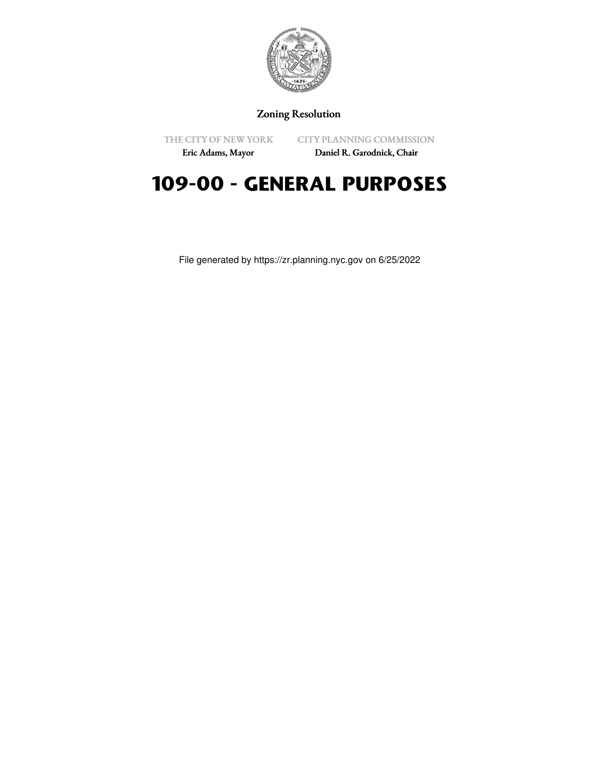

## Zoning Resolution

THE CITY OF NEW YORK Eric Adams, Mayor

CITY PLANNING COMMISSION

Daniel R. Garodnick, Chair

# **109-00 - GENERAL PURPOSES**

File generated by https://zr.planning.nyc.gov on 6/25/2022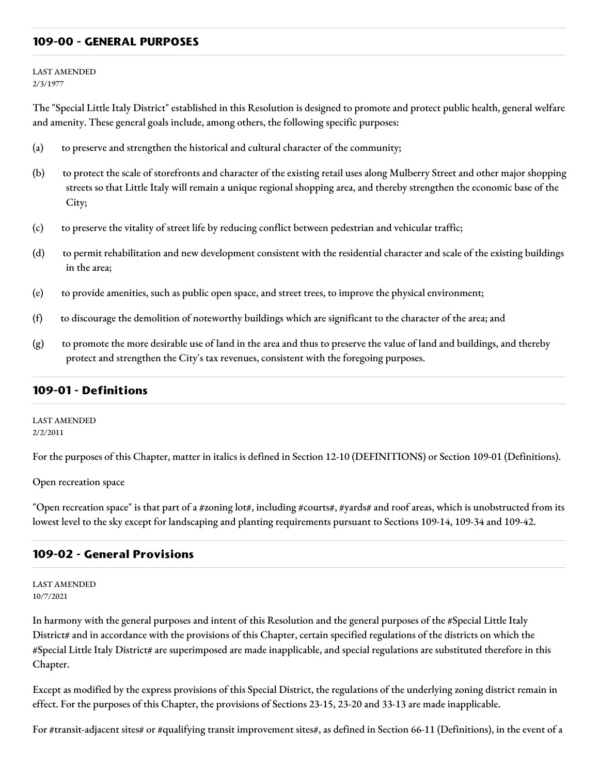### **109-00 - GENERAL PURPOSES**

LAST AMENDED 2/3/1977

The "Special Little Italy District" established in this Resolution is designed to promote and protect public health, general welfare and amenity. These general goals include, among others, the following specific purposes:

- (a) to preserve and strengthen the historical and cultural character of the community;
- (b) to protect the scale of storefronts and character of the existing retail uses along Mulberry Street and other major shopping streets so that Little Italy will remain a unique regional shopping area, and thereby strengthen the economic base of the City;
- (c) to preserve the vitality of street life by reducing conflict between pedestrian and vehicular traffic;
- (d) to permit rehabilitation and new development consistent with the residential character and scale of the existing buildings in the area;
- (e) to provide amenities, such as public open space, and street trees, to improve the physical environment;
- (f) to discourage the demolition of noteworthy buildings which are significant to the character of the area; and
- (g) to promote the more desirable use of land in the area and thus to preserve the value of land and buildings, and thereby protect and strengthen the City's tax revenues, consistent with the foregoing purposes.

#### **109-01 - Definitions**

LAST AMENDED 2/2/2011

For the purposes of this Chapter, matter in italics is defined in Section 12-10 (DEFINITIONS) or Section 109-01 (Definitions).

Open recreation space

"Open recreation space" is that part of a #zoning lot#, including #courts#, #yards# and roof areas, which is unobstructed from its lowest level to the sky except for landscaping and planting requirements pursuant to Sections 109-14, 109-34 and 109-42.

## **109-02 - General Provisions**

LAST AMENDED 10/7/2021

In harmony with the general purposes and intent of this Resolution and the general purposes of the #Special Little Italy District# and in accordance with the provisions of this Chapter, certain specified regulations of the districts on which the #Special Little Italy District# are superimposed are made inapplicable, and special regulations are substituted therefore in this Chapter.

Except as modified by the express provisions of this Special District, the regulations of the underlying zoning district remain in effect. For the purposes of this Chapter, the provisions of Sections 23-15, 23-20 and 33-13 are made inapplicable.

For #transit-adjacent sites# or #qualifying transit improvement sites#, as defined in Section 66-11 (Definitions), in the event of a